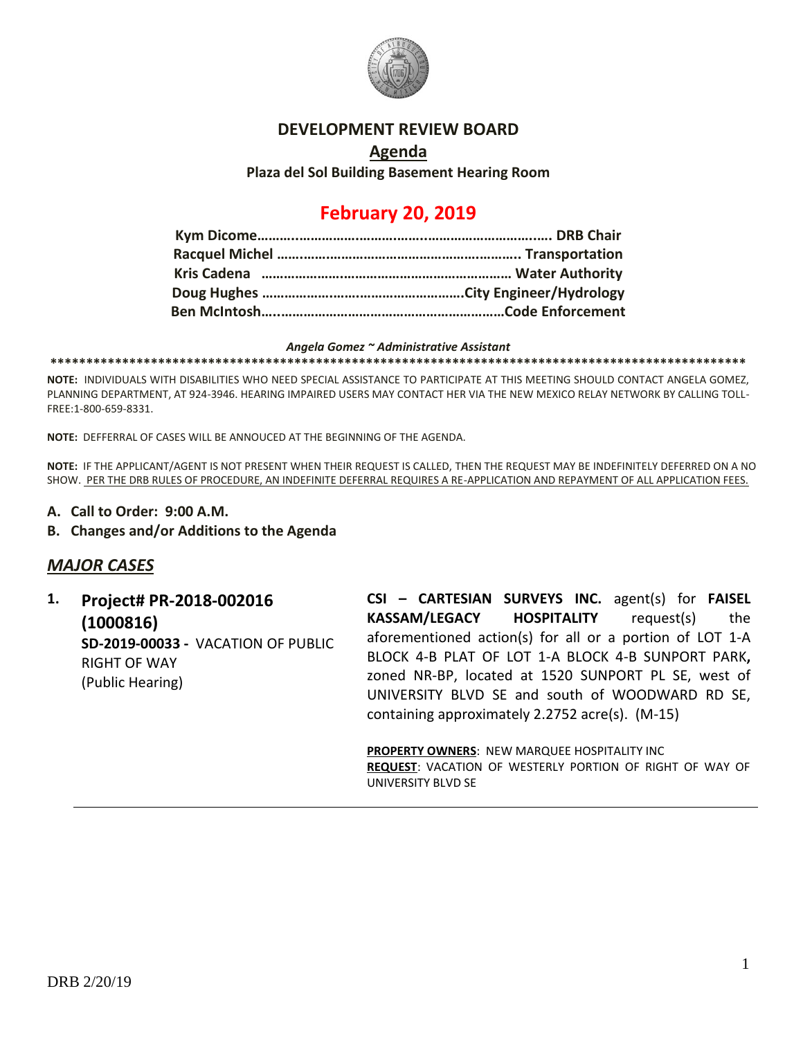

#### **DEVELOPMENT REVIEW BOARD**

### **Agenda Plaza del Sol Building Basement Hearing Room**

# **February 20, 2019**

#### *Angela Gomez ~ Administrative Assistant*

**\*\*\*\*\*\*\*\*\*\*\*\*\*\*\*\*\*\*\*\*\*\*\*\*\*\*\*\*\*\*\*\*\*\*\*\*\*\*\*\*\*\*\*\*\*\*\*\*\*\*\*\*\*\*\*\*\*\*\*\*\*\*\*\*\*\*\*\*\*\*\*\*\*\*\*\*\*\*\*\*\*\*\*\*\*\*\*\*\*\*\*\*\*\*\*\*\***

**NOTE:** INDIVIDUALS WITH DISABILITIES WHO NEED SPECIAL ASSISTANCE TO PARTICIPATE AT THIS MEETING SHOULD CONTACT ANGELA GOMEZ, PLANNING DEPARTMENT, AT 924-3946. HEARING IMPAIRED USERS MAY CONTACT HER VIA THE NEW MEXICO RELAY NETWORK BY CALLING TOLL-FREE:1-800-659-8331.

**NOTE:** DEFFERRAL OF CASES WILL BE ANNOUCED AT THE BEGINNING OF THE AGENDA.

**NOTE:** IF THE APPLICANT/AGENT IS NOT PRESENT WHEN THEIR REQUEST IS CALLED, THEN THE REQUEST MAY BE INDEFINITELY DEFERRED ON A NO SHOW. PER THE DRB RULES OF PROCEDURE, AN INDEFINITE DEFERRAL REQUIRES A RE-APPLICATION AND REPAYMENT OF ALL APPLICATION FEES.

- **A. Call to Order: 9:00 A.M.**
- **B. Changes and/or Additions to the Agenda**

### *MAJOR CASES*

**1. Project# PR-2018-002016 (1000816) SD-2019-00033 -** VACATION OF PUBLIC RIGHT OF WAY (Public Hearing)

**CSI – CARTESIAN SURVEYS INC.** agent(s) for **FAISEL KASSAM/LEGACY HOSPITALITY** request(s) the aforementioned action(s) for all or a portion of LOT 1-A BLOCK 4-B PLAT OF LOT 1-A BLOCK 4-B SUNPORT PARK**,**  zoned NR-BP, located at 1520 SUNPORT PL SE, west of UNIVERSITY BLVD SE and south of WOODWARD RD SE, containing approximately 2.2752 acre(s). (M-15)

**PROPERTY OWNERS**: NEW MARQUEE HOSPITALITY INC **REQUEST**: VACATION OF WESTERLY PORTION OF RIGHT OF WAY OF UNIVERSITY BLVD SE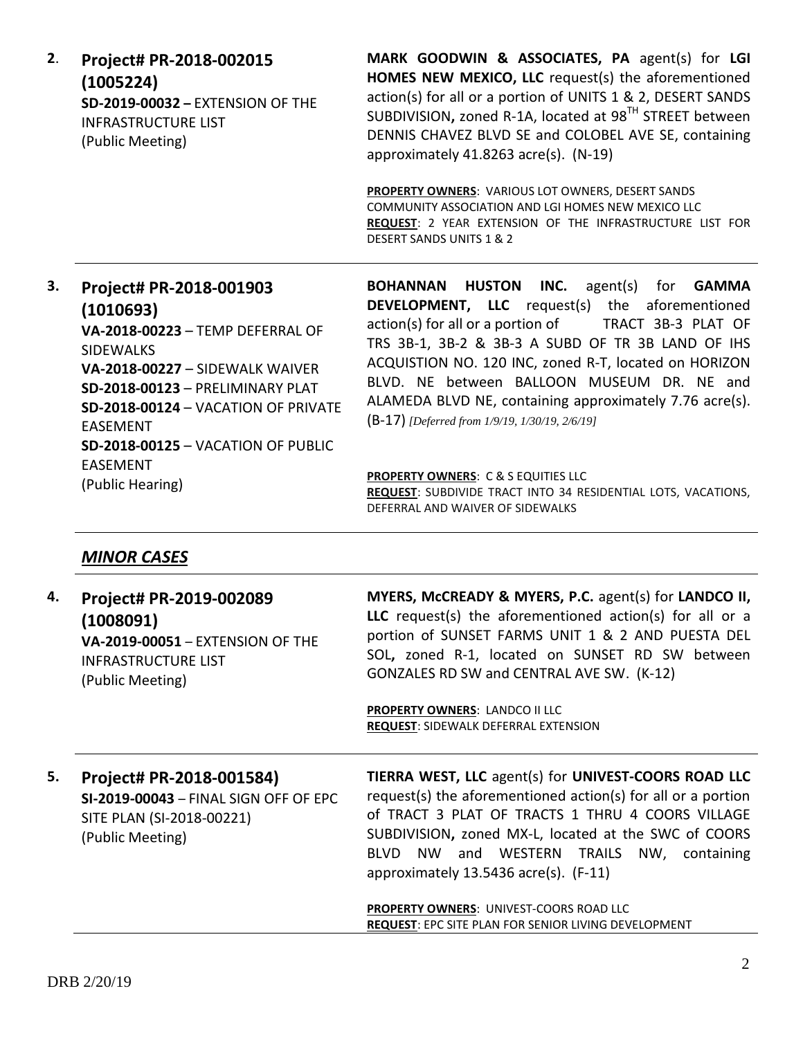**2**. **Project# PR-2018-002015 (1005224) SD-2019-00032 –** EXTENSION OF THE INFRASTRUCTURE LIST (Public Meeting)

**MARK GOODWIN & ASSOCIATES, PA** agent(s) for **LGI HOMES NEW MEXICO, LLC** request(s) the aforementioned action(s) for all or a portion of UNITS 1 & 2, DESERT SANDS SUBDIVISION**,** zoned R-1A, located at 98TH STREET between DENNIS CHAVEZ BLVD SE and COLOBEL AVE SE, containing approximately 41.8263 acre(s). (N-19)

**PROPERTY OWNERS**: VARIOUS LOT OWNERS, DESERT SANDS COMMUNITY ASSOCIATION AND LGI HOMES NEW MEXICO LLC **REQUEST**: 2 YEAR EXTENSION OF THE INFRASTRUCTURE LIST FOR DESERT SANDS UNITS 1 & 2

### **3. Project# PR-2018-001903 (1010693) VA-2018-00223** – TEMP DEFERRAL OF **SIDEWALKS VA-2018-00227** – SIDEWALK WAIVER **SD-2018-00123** – PRELIMINARY PLAT **SD-2018-00124** – VACATION OF PRIVATE EASEMENT **SD-2018-00125** – VACATION OF PUBLIC EASEMENT (Public Hearing)

**BOHANNAN HUSTON INC.** agent(s) for **GAMMA DEVELOPMENT, LLC** request(s) the aforementioned action(s) for all or a portion of TRACT 3B-3 PLAT OF TRS 3B-1, 3B-2 & 3B-3 A SUBD OF TR 3B LAND OF IHS ACQUISTION NO. 120 INC, zoned R-T, located on HORIZON BLVD. NE between BALLOON MUSEUM DR. NE and ALAMEDA BLVD NE, containing approximately 7.76 acre(s). (B-17) *[Deferred from 1/9/19, 1/30/19, 2/6/19]*

**PROPERTY OWNERS**: C & S EQUITIES LLC **REQUEST**: SUBDIVIDE TRACT INTO 34 RESIDENTIAL LOTS, VACATIONS, DEFERRAL AND WAIVER OF SIDEWALKS

## *MINOR CASES*

| 4. | Project# PR-2019-002089<br>(1008091)<br><b>VA-2019-00051 - EXTENSION OF THE</b><br><b>INFRASTRUCTURE LIST</b><br>(Public Meeting) | MYERS, McCREADY & MYERS, P.C. agent(s) for LANDCO II,<br>LLC request(s) the aforementioned action(s) for all or a<br>portion of SUNSET FARMS UNIT 1 & 2 AND PUESTA DEL<br>SOL, zoned R-1, located on SUNSET RD SW between<br>GONZALES RD SW and CENTRAL AVE SW. (K-12)                                                           |
|----|-----------------------------------------------------------------------------------------------------------------------------------|----------------------------------------------------------------------------------------------------------------------------------------------------------------------------------------------------------------------------------------------------------------------------------------------------------------------------------|
|    |                                                                                                                                   | <b>PROPERTY OWNERS: LANDCO II LLC</b><br><b>REQUEST: SIDEWALK DEFERRAL EXTENSION</b>                                                                                                                                                                                                                                             |
| 5. | Project# PR-2018-001584)<br>SI-2019-00043 - FINAL SIGN OFF OF EPC<br>SITE PLAN (SI-2018-00221)<br>(Public Meeting)                | TIERRA WEST, LLC agent(s) for UNIVEST-COORS ROAD LLC<br>request(s) the aforementioned action(s) for all or a portion<br>of TRACT 3 PLAT OF TRACTS 1 THRU 4 COORS VILLAGE<br>SUBDIVISION, zoned MX-L, located at the SWC of COORS<br>WESTERN TRAILS NW, containing<br>BLVD NW<br>and<br>approximately $13.5436$ acre(s). $(F-11)$ |
|    |                                                                                                                                   | <b>PROPERTY OWNERS: UNIVEST-COORS ROAD LLC</b><br><b>REQUEST: EPC SITE PLAN FOR SENIOR LIVING DEVELOPMENT</b>                                                                                                                                                                                                                    |